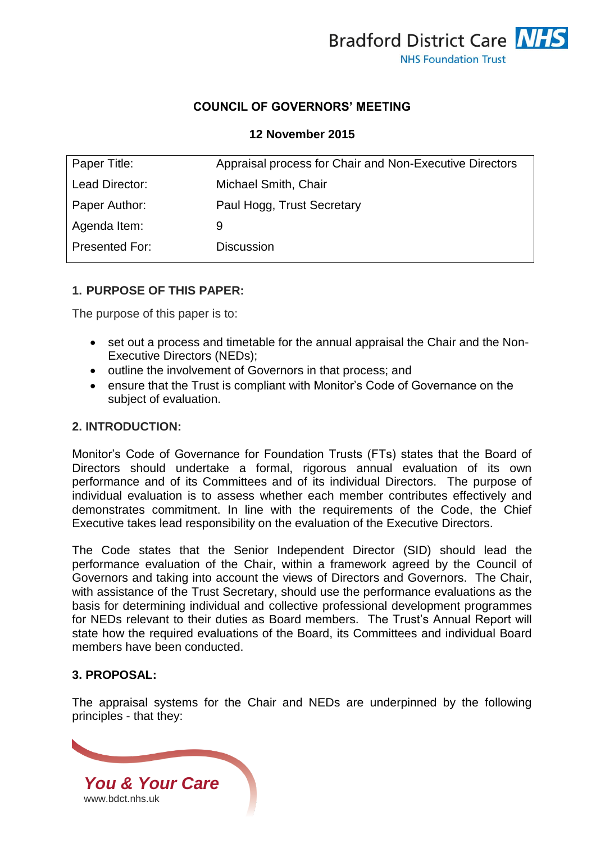

## **COUNCIL OF GOVERNORS' MEETING**

#### **12 November 2015**

| Paper Title:          | Appraisal process for Chair and Non-Executive Directors |
|-----------------------|---------------------------------------------------------|
| Lead Director:        | Michael Smith, Chair                                    |
| Paper Author:         | Paul Hogg, Trust Secretary                              |
| Agenda Item:          | 9                                                       |
| <b>Presented For:</b> | <b>Discussion</b>                                       |
|                       |                                                         |

## **1. PURPOSE OF THIS PAPER:**

The purpose of this paper is to:

- set out a process and timetable for the annual appraisal the Chair and the Non-Executive Directors (NEDs);
- outline the involvement of Governors in that process: and
- ensure that the Trust is compliant with Monitor's Code of Governance on the subject of evaluation.

## **2. INTRODUCTION:**

Monitor's Code of Governance for Foundation Trusts (FTs) states that the Board of Directors should undertake a formal, rigorous annual evaluation of its own performance and of its Committees and of its individual Directors. The purpose of individual evaluation is to assess whether each member contributes effectively and demonstrates commitment. In line with the requirements of the Code, the Chief Executive takes lead responsibility on the evaluation of the Executive Directors.

The Code states that the Senior Independent Director (SID) should lead the performance evaluation of the Chair, within a framework agreed by the Council of Governors and taking into account the views of Directors and Governors. The Chair, with assistance of the Trust Secretary, should use the performance evaluations as the basis for determining individual and collective professional development programmes for NEDs relevant to their duties as Board members. The Trust's Annual Report will state how the required evaluations of the Board, its Committees and individual Board members have been conducted.

## **3. PROPOSAL:**

The appraisal systems for the Chair and NEDs are underpinned by the following principles - that they:

*You & Your Care* [www.bdct.nhs.uk](http://www.bdct.nhs.uk/)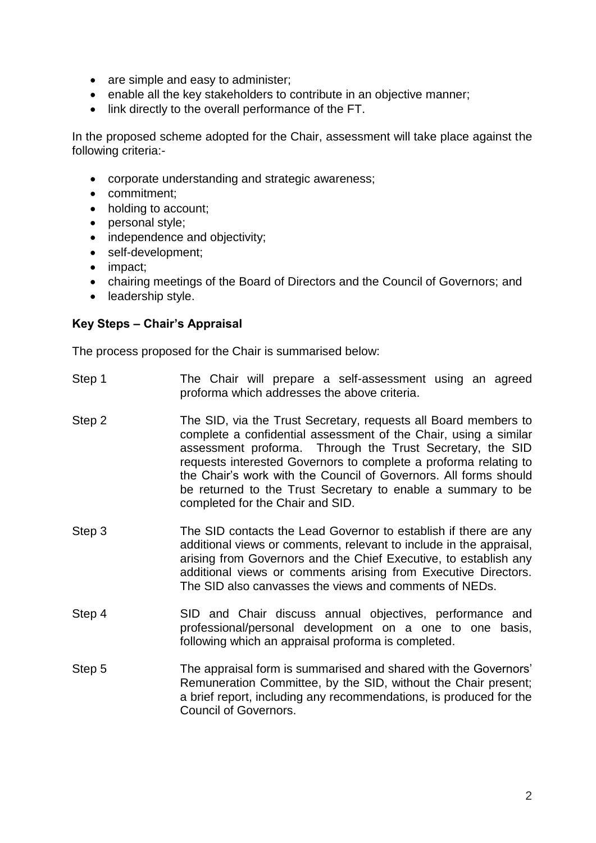- are simple and easy to administer;
- enable all the key stakeholders to contribute in an objective manner;
- link directly to the overall performance of the FT.

In the proposed scheme adopted for the Chair, assessment will take place against the following criteria:-

- corporate understanding and strategic awareness;
- commitment:
- holding to account;
- personal style;
- independence and objectivity;
- self-development;
- impact:
- chairing meetings of the Board of Directors and the Council of Governors; and
- leadership style.

## **Key Steps – Chair's Appraisal**

The process proposed for the Chair is summarised below:

- Step 1 The Chair will prepare a self-assessment using an agreed proforma which addresses the above criteria.
- Step 2 The SID, via the Trust Secretary, requests all Board members to complete a confidential assessment of the Chair, using a similar assessment proforma. Through the Trust Secretary, the SID requests interested Governors to complete a proforma relating to the Chair's work with the Council of Governors. All forms should be returned to the Trust Secretary to enable a summary to be completed for the Chair and SID.
- Step 3 The SID contacts the Lead Governor to establish if there are any additional views or comments, relevant to include in the appraisal, arising from Governors and the Chief Executive, to establish any additional views or comments arising from Executive Directors. The SID also canvasses the views and comments of NEDs.
- Step 4 SID and Chair discuss annual objectives, performance and professional/personal development on a one to one basis, following which an appraisal proforma is completed.
- Step 5 The appraisal form is summarised and shared with the Governors' Remuneration Committee, by the SID, without the Chair present; a brief report, including any recommendations, is produced for the Council of Governors.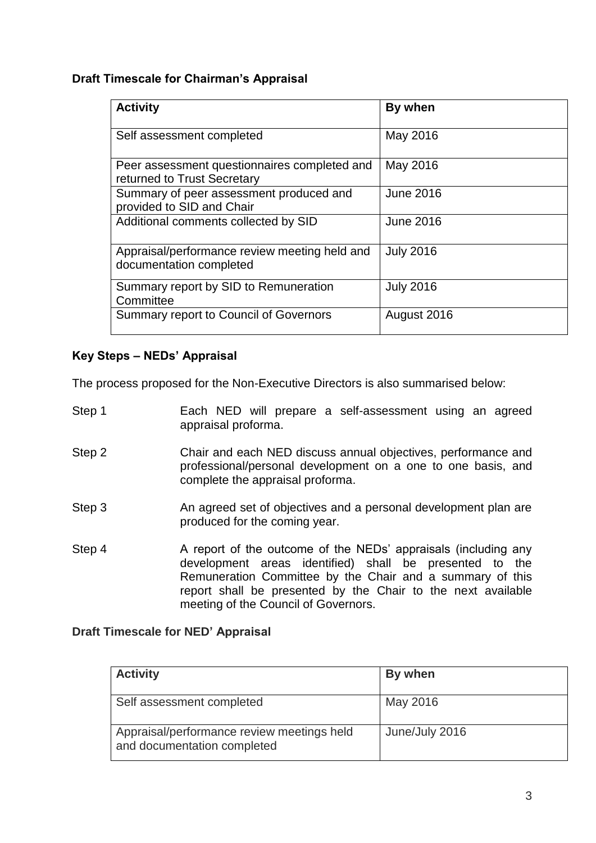## **Draft Timescale for Chairman's Appraisal**

| <b>Activity</b>                                                             | By when          |
|-----------------------------------------------------------------------------|------------------|
| Self assessment completed                                                   | May 2016         |
| Peer assessment questionnaires completed and<br>returned to Trust Secretary | May 2016         |
| Summary of peer assessment produced and<br>provided to SID and Chair        | <b>June 2016</b> |
| Additional comments collected by SID                                        | <b>June 2016</b> |
| Appraisal/performance review meeting held and<br>documentation completed    | <b>July 2016</b> |
| Summary report by SID to Remuneration<br>Committee                          | <b>July 2016</b> |
| Summary report to Council of Governors                                      | August 2016      |

## **Key Steps – NEDs' Appraisal**

The process proposed for the Non-Executive Directors is also summarised below:

- Step 1 **Each NED** will prepare a self-assessment using an agreed appraisal proforma.
- Step 2 Chair and each NED discuss annual objectives, performance and professional/personal development on a one to one basis, and complete the appraisal proforma.
- Step 3 An agreed set of objectives and a personal development plan are produced for the coming year.
- Step 4 A report of the outcome of the NEDs' appraisals (including any development areas identified) shall be presented to the Remuneration Committee by the Chair and a summary of this report shall be presented by the Chair to the next available meeting of the Council of Governors.

## **Draft Timescale for NED' Appraisal**

| <b>Activity</b>                                                           | By when        |
|---------------------------------------------------------------------------|----------------|
| Self assessment completed                                                 | May 2016       |
| Appraisal/performance review meetings held<br>and documentation completed | June/July 2016 |